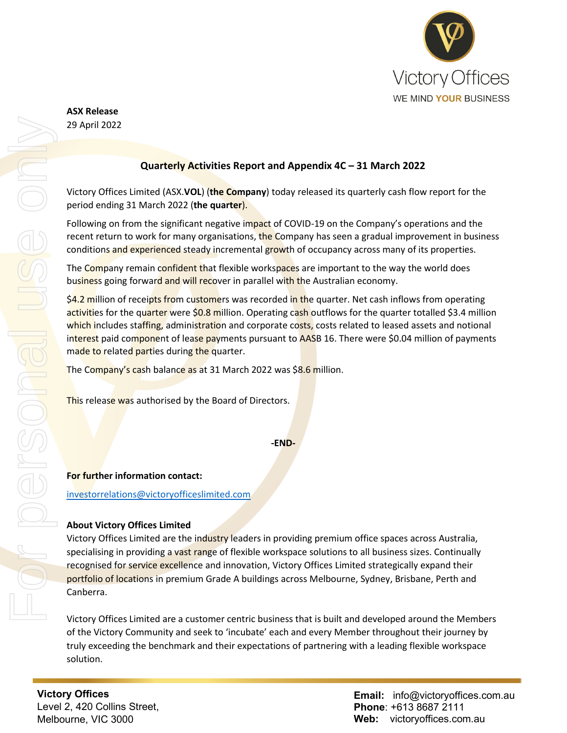

**ASX Release** 29 April 2022

## **Quarterly Activities Report and Appendix 4C – 31 March 2022**

Victory Offices Limited (ASX.**VOL**) (**the Company**) today released its quarterly cash flow report for the period ending 31 March 2022 (**the quarter**).

Following on from the significant negative impact of COVID-19 on the Company's operations and the recent return to work for many organisations, the Company has seen a gradual improvement in business conditions and experienced steady incremental growth of occupancy across many of its properties.

The Company remain confident that flexible workspaces are important to the way the world does business going forward and will recover in parallel with the Australian economy.

\$4.2 million of receipts from customers was recorded in the quarter. Net cash inflows from operating activities for the quarter were \$0.8 million. Operating cash outflows for the quarter totalled \$3.4 million which includes staffing, administration and corporate costs, costs related to leased assets and notional interest paid component of lease payments pursuant to AASB 16. There were \$0.04 million of payments made to related parties during the quarter.

The Company's cash balance as at 31 March 2022 was \$8.6 million.

This release was authorised by the Board of Directors.

**For further information contact:**

[investorrelations@victoryofficeslimited.com](mailto:investorrelations@victoryofficeslimited.com)

#### **About Victory Offices Limited**

Victory Offices Limited are the industry leaders in providing premium office spaces across Australia, specialising in providing a vast range of flexible workspace solutions to all business sizes. Continually recognised for service excellence and innovation, Victory Offices Limited strategically expand their portfolio of locations in premium Grade A buildings across Melbourne, Sydney, Brisbane, Perth and Canberra.

Victory Offices Limited are a customer centric business that is built and developed around the Members of the Victory Community and seek to 'incubate' each and every Member throughout their journey by truly exceeding the benchmark and their expectations of partnering with a leading flexible workspace solution.

**Victory Offices**  Level 2, 420 Collins Street, Melbourne, VIC 3000

**Email:** info@victoryoffices.com.au **Phone**: +613 8687 2111 **Web:** victoryoffices.com.au

**<sup>-</sup>END-**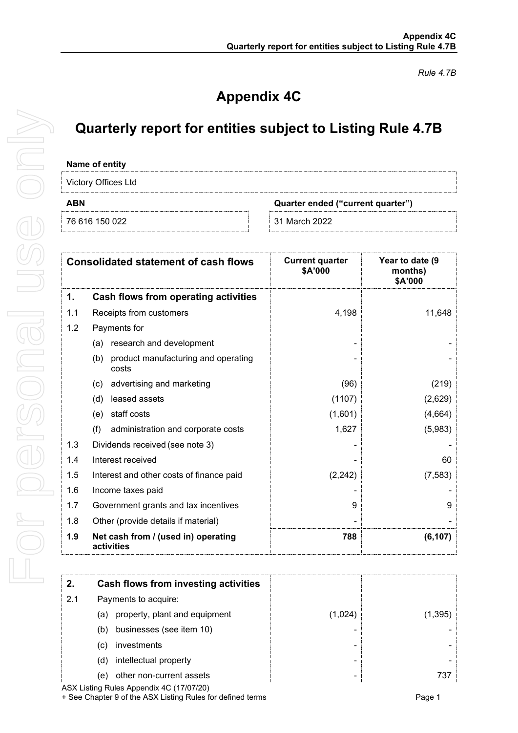*Rule 4.7B*

# **Appendix 4C**

## **Quarterly report for entities subject to Listing Rule 4.7B**

#### **Name of entity**

Victory Offices Ltd

76 616 150 022 31 March 2022

**ABN Quarter ended ("current quarter")**

| <b>Consolidated statement of cash flows</b> |                                                     | <b>Current quarter</b><br>\$A'000 | Year to date (9<br>months)<br>\$A'000 |
|---------------------------------------------|-----------------------------------------------------|-----------------------------------|---------------------------------------|
| 1.                                          | Cash flows from operating activities                |                                   |                                       |
| 1.1                                         | Receipts from customers                             | 4,198                             | 11,648                                |
| 1.2                                         | Payments for                                        |                                   |                                       |
|                                             | research and development<br>(a)                     |                                   |                                       |
|                                             | product manufacturing and operating<br>(b)<br>costs |                                   |                                       |
|                                             | advertising and marketing<br>(c)                    | (96)                              | (219)                                 |
|                                             | leased assets<br>(d)                                | (1107)                            | (2,629)                               |
|                                             | staff costs<br>(e)                                  | (1,601)                           | (4,664)                               |
|                                             | (f)<br>administration and corporate costs           | 1,627                             | (5,983)                               |
| 1.3                                         | Dividends received (see note 3)                     |                                   |                                       |
| 1.4                                         | Interest received                                   |                                   | 60                                    |
| 1.5                                         | Interest and other costs of finance paid            | (2, 242)                          | (7, 583)                              |
| 1.6                                         | Income taxes paid                                   |                                   |                                       |
| 1.7                                         | Government grants and tax incentives                | 9                                 | 9                                     |
| 1.8                                         | Other (provide details if material)                 |                                   |                                       |
| 1.9                                         | Net cash from / (used in) operating<br>activities   | 788                               | (6, 107)                              |

|     | Cash flows from investing activities |         |          |
|-----|--------------------------------------|---------|----------|
| 2.1 | Payments to acquire:                 |         |          |
|     | (a) property, plant and equipment    | (1.024) | (1, 395) |
|     | businesses (see item 10)<br>(b)      |         |          |
|     | investments<br>(C)                   |         |          |
|     | intellectual property<br>(d)         |         |          |
|     | other non-current assets<br>e)       |         |          |

ASX Listing Rules Appendix 4C (17/07/20) + See Chapter 9 of the ASX Listing Rules for defined terms Page 1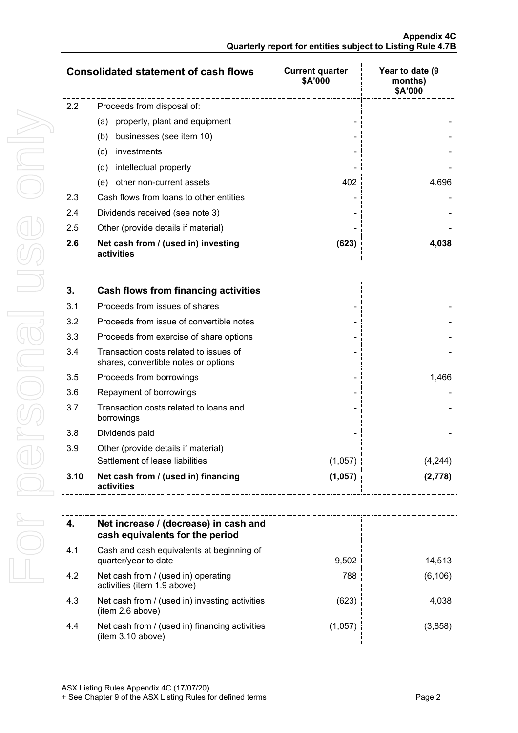| <b>Consolidated statement of cash flows</b> |                                                   | <b>Current quarter</b><br>\$A'000 | Year to date (9<br>months)<br>\$A'000 |
|---------------------------------------------|---------------------------------------------------|-----------------------------------|---------------------------------------|
| $2.2^{\circ}$                               | Proceeds from disposal of:                        |                                   |                                       |
|                                             | property, plant and equipment<br>(a)              |                                   |                                       |
|                                             | businesses (see item 10)<br>(b)                   |                                   |                                       |
|                                             | investments<br>(c)                                |                                   |                                       |
|                                             | intellectual property<br>(d)                      |                                   |                                       |
|                                             | other non-current assets<br>(e)                   | 402                               | 4.696                                 |
| 2.3                                         | Cash flows from loans to other entities           |                                   |                                       |
| 2.4                                         | Dividends received (see note 3)                   |                                   |                                       |
| 2.5                                         | Other (provide details if material)               |                                   |                                       |
| 2.6                                         | Net cash from / (used in) investing<br>activities | (623)                             | 4,038                                 |

| 3.   | Cash flows from financing activities                                           |         |         |
|------|--------------------------------------------------------------------------------|---------|---------|
| 3.1  | Proceeds from issues of shares                                                 |         |         |
| 3.2  | Proceeds from issue of convertible notes                                       |         |         |
| 3.3  | Proceeds from exercise of share options                                        |         |         |
| 3.4  | Transaction costs related to issues of<br>shares, convertible notes or options |         |         |
| 3.5  | Proceeds from borrowings                                                       |         | 1.466   |
| 3.6  | Repayment of borrowings                                                        |         |         |
| 3.7  | Transaction costs related to loans and<br>borrowings                           |         |         |
| 3.8  | Dividends paid                                                                 |         |         |
| 3.9  | Other (provide details if material)                                            |         |         |
|      | Settlement of lease liabilities                                                | (1,057) | (4.244  |
| 3.10 | Net cash from / (used in) financing<br>activities                              | (1,057) | (2,778) |

|     | Net increase / (decrease) in cash and<br>cash equivalents for the period |         |         |
|-----|--------------------------------------------------------------------------|---------|---------|
| 4.1 | Cash and cash equivalents at beginning of<br>quarter/year to date        | 9,502   | 14,513  |
| 4.2 | Net cash from / (used in) operating<br>activities (item 1.9 above)       | 788     | (6,106) |
| 4.3 | Net cash from / (used in) investing activities<br>(item 2.6 above)       | (623)   | 4,038   |
| 4.4 | Net cash from / (used in) financing activities<br>(item 3.10 above)      | (1,057) | (3,858) |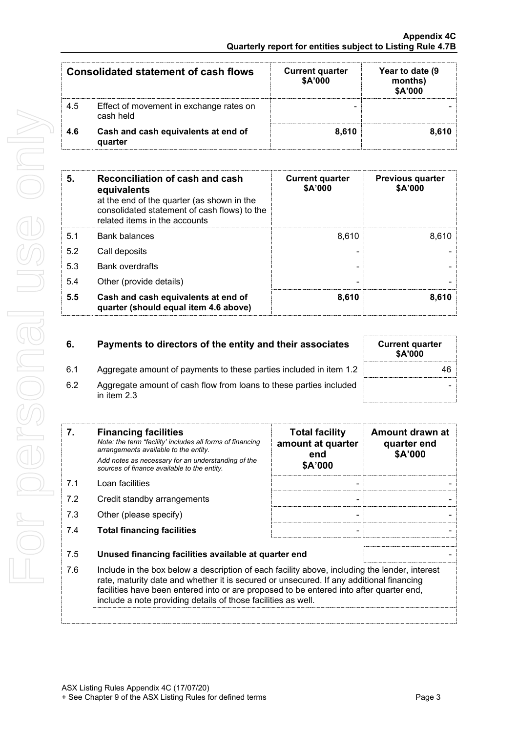| <b>Consolidated statement of cash flows</b> |                                                      | <b>Current quarter</b><br>\$A'000 | Year to date (9<br>months)<br>\$A'000 |
|---------------------------------------------|------------------------------------------------------|-----------------------------------|---------------------------------------|
| 4.5                                         | Effect of movement in exchange rates on<br>cash held |                                   |                                       |
| 4.6                                         | Cash and cash equivalents at end of<br>quarter       | 8.610                             | 8.610                                 |

| 5   | Reconciliation of cash and cash<br>equivalents<br>at the end of the quarter (as shown in the<br>consolidated statement of cash flows) to the<br>related items in the accounts | <b>Current quarter</b><br>\$A'000 | <b>Previous quarter</b><br>\$A'000 |
|-----|-------------------------------------------------------------------------------------------------------------------------------------------------------------------------------|-----------------------------------|------------------------------------|
| 5.1 | <b>Bank balances</b>                                                                                                                                                          | 8.610                             | 8.610                              |
| 5.2 | Call deposits                                                                                                                                                                 |                                   |                                    |
| 5.3 | <b>Bank overdrafts</b>                                                                                                                                                        |                                   |                                    |
| 5.4 | Other (provide details)                                                                                                                                                       |                                   |                                    |
| 5.5 | Cash and cash equivalents at end of<br>quarter (should equal item 4.6 above)                                                                                                  | 8,610                             | 8.610                              |

| 6.  | Payments to directors of the entity and their associates                            | <b>Current quarter</b><br><b>\$A'000</b> |
|-----|-------------------------------------------------------------------------------------|------------------------------------------|
| 6.1 | Aggregate amount of payments to these parties included in item 1.2                  |                                          |
| 6.2 | Aggregate amount of cash flow from loans to these parties included<br>in item $2.3$ |                                          |

| 7.  | <b>Financing facilities</b><br>Note: the term "facility' includes all forms of financing<br>arrangements available to the entity.<br>Add notes as necessary for an understanding of the<br>sources of finance available to the entity.                                                                                                               | <b>Total facility</b><br>amount at quarter<br>end<br>\$A'000 | Amount drawn at<br>quarter end<br>\$A'000 |
|-----|------------------------------------------------------------------------------------------------------------------------------------------------------------------------------------------------------------------------------------------------------------------------------------------------------------------------------------------------------|--------------------------------------------------------------|-------------------------------------------|
| 7.1 | Loan facilities                                                                                                                                                                                                                                                                                                                                      |                                                              |                                           |
| 7.2 | Credit standby arrangements                                                                                                                                                                                                                                                                                                                          |                                                              |                                           |
| 7.3 | Other (please specify)                                                                                                                                                                                                                                                                                                                               |                                                              |                                           |
| 7.4 | <b>Total financing facilities</b>                                                                                                                                                                                                                                                                                                                    |                                                              |                                           |
|     |                                                                                                                                                                                                                                                                                                                                                      |                                                              |                                           |
| 7.5 | Unused financing facilities available at quarter end                                                                                                                                                                                                                                                                                                 |                                                              |                                           |
| 7.6 | Include in the box below a description of each facility above, including the lender, interest<br>rate, maturity date and whether it is secured or unsecured. If any additional financing<br>facilities have been entered into or are proposed to be entered into after quarter end,<br>include a note providing details of those facilities as well. |                                                              |                                           |
|     |                                                                                                                                                                                                                                                                                                                                                      |                                                              |                                           |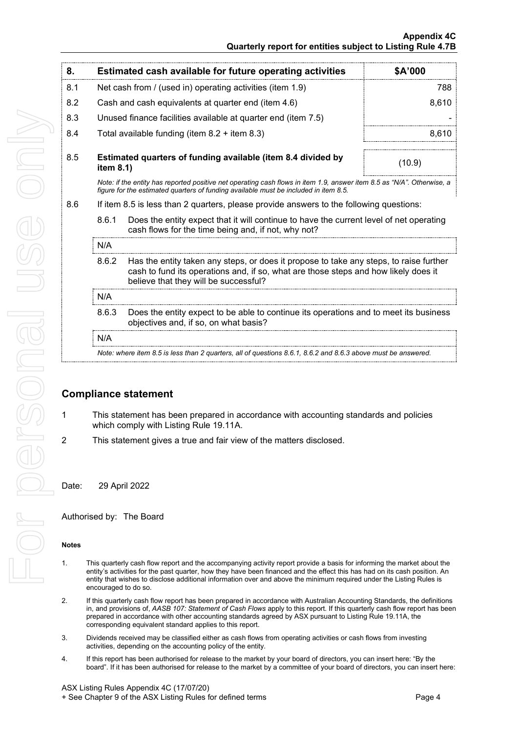| 8.  |                                                           | Estimated cash available for future operating activities                                                                                                                                                               | \$A'000 |  |
|-----|-----------------------------------------------------------|------------------------------------------------------------------------------------------------------------------------------------------------------------------------------------------------------------------------|---------|--|
| 8.1 | Net cash from / (used in) operating activities (item 1.9) |                                                                                                                                                                                                                        | 788     |  |
| 8.2 |                                                           | Cash and cash equivalents at quarter end (item 4.6)                                                                                                                                                                    | 8,610   |  |
| 8.3 |                                                           | Unused finance facilities available at quarter end (item 7.5)                                                                                                                                                          |         |  |
| 8.4 |                                                           | Total available funding (item $8.2 +$ item $8.3$ )                                                                                                                                                                     | 8,610   |  |
| 8.5 | item $8.1$ )                                              | Estimated quarters of funding available (item 8.4 divided by                                                                                                                                                           | (10.9)  |  |
|     |                                                           | Note: if the entity has reported positive net operating cash flows in item 1.9, answer item 8.5 as "N/A". Otherwise, a<br>figure for the estimated guarters of funding available must be included in item 8.5.         |         |  |
| 8.6 |                                                           | If item 8.5 is less than 2 quarters, please provide answers to the following questions:                                                                                                                                |         |  |
|     | 8.6.1                                                     | Does the entity expect that it will continue to have the current level of net operating<br>cash flows for the time being and, if not, why not?                                                                         |         |  |
|     | N/A                                                       |                                                                                                                                                                                                                        |         |  |
|     | 8.6.2                                                     | Has the entity taken any steps, or does it propose to take any steps, to raise further<br>cash to fund its operations and, if so, what are those steps and how likely does it<br>believe that they will be successful? |         |  |
|     | N/A                                                       |                                                                                                                                                                                                                        |         |  |
|     | 8.6.3                                                     | Does the entity expect to be able to continue its operations and to meet its business<br>objectives and, if so, on what basis?                                                                                         |         |  |

#### N/A

*Note: where item 8.5 is less than 2 quarters, all of questions 8.6.1, 8.6.2 and 8.6.3 above must be answered.*

### **Compliance statement**

- 1 This statement has been prepared in accordance with accounting standards and policies which comply with Listing Rule 19.11A.
- 2 This statement gives a true and fair view of the matters disclosed.

Date: 29 April 2022

Authorised by: The Board

#### **Notes**

- 1. This quarterly cash flow report and the accompanying activity report provide a basis for informing the market about the entity's activities for the past quarter, how they have been financed and the effect this has had on its cash position. An entity that wishes to disclose additional information over and above the minimum required under the Listing Rules is encouraged to do so.
- 2. If this quarterly cash flow report has been prepared in accordance with Australian Accounting Standards, the definitions in, and provisions of, *AASB 107: Statement of Cash Flows* apply to this report. If this quarterly cash flow report has been prepared in accordance with other accounting standards agreed by ASX pursuant to Listing Rule 19.11A, the corresponding equivalent standard applies to this report.
- 3. Dividends received may be classified either as cash flows from operating activities or cash flows from investing activities, depending on the accounting policy of the entity.
- 4. If this report has been authorised for release to the market by your board of directors, you can insert here: "By the board". If it has been authorised for release to the market by a committee of your board of directors, you can insert here: